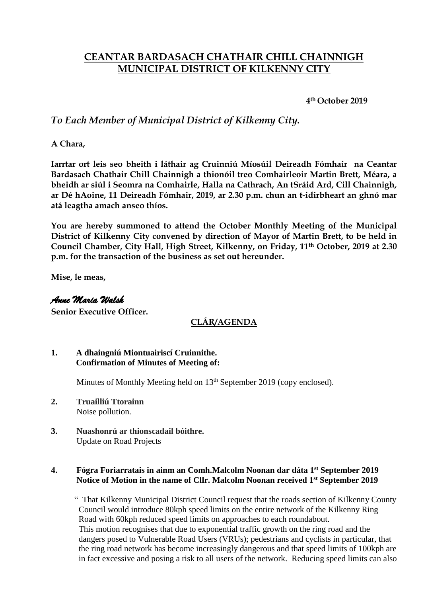# **CEANTAR BARDASACH CHATHAIR CHILL CHAINNIGH MUNICIPAL DISTRICT OF KILKENNY CITY**

**4th October 2019**

## *To Each Member of Municipal District of Kilkenny City.*

**A Chara,**

**Iarrtar ort leis seo bheith i láthair ag Cruinniú Míosúil Deireadh Fómhair na Ceantar Bardasach Chathair Chill Chainnigh a thionóil treo Comhairleoir Martin Brett, Méara, a bheidh ar siúl i Seomra na Comhairle, Halla na Cathrach, An tSráid Ard, Cill Chainnigh, ar Dé hAoine, 11 Deireadh Fómhair, 2019, ar 2.30 p.m. chun an t-idirbheart an ghnó mar atá leagtha amach anseo thíos.**

**You are hereby summoned to attend the October Monthly Meeting of the Municipal District of Kilkenny City convened by direction of Mayor of Martin Brett, to be held in Council Chamber, City Hall, High Street, Kilkenny, on Friday, 11th October, 2019 at 2.30 p.m. for the transaction of the business as set out hereunder.**

**Mise, le meas,**

## *Anne Maria Walsh*

**Senior Executive Officer.**

## **CLÁR/AGENDA**

#### **1. A dhaingniú Miontuairiscí Cruinnithe. Confirmation of Minutes of Meeting of:**

Minutes of Monthly Meeting held on 13<sup>th</sup> September 2019 (copy enclosed).

- **2. Truailliú Ttorainn**  Noise pollution.
- **3. Nuashonrú ar thionscadail bóithre.**  Update on Road Projects

#### **4. Fógra Foriarratais in ainm an Comh.Malcolm Noonan dar dáta 1st September 2019 Notice of Motion in the name of Cllr. Malcolm Noonan received 1st September 2019**

 " That Kilkenny Municipal District Council request that the roads section of Kilkenny County Council would introduce 80kph speed limits on the entire network of the Kilkenny Ring Road with 60kph reduced speed limits on approaches to each roundabout. This motion recognises that due to exponential traffic growth on the ring road and the dangers posed to Vulnerable Road Users (VRUs); pedestrians and cyclists in particular, that the ring road network has become increasingly dangerous and that speed limits of 100kph are in fact excessive and posing a risk to all users of the network. Reducing speed limits can also